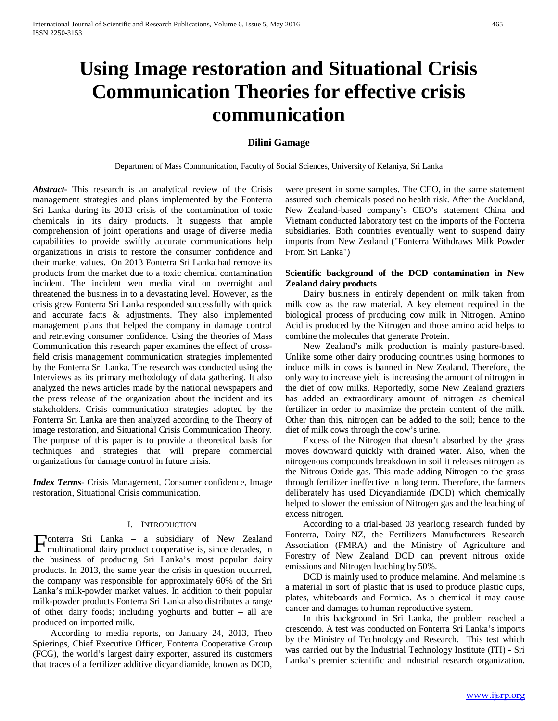# **Using Image restoration and Situational Crisis Communication Theories for effective crisis communication**

# **Dilini Gamage**

Department of Mass Communication, Faculty of Social Sciences, University of Kelaniya, Sri Lanka

*Abstract***-** This research is an analytical review of the Crisis management strategies and plans implemented by the Fonterra Sri Lanka during its 2013 crisis of the contamination of toxic chemicals in its dairy products. It suggests that ample comprehension of joint operations and usage of diverse media capabilities to provide swiftly accurate communications help organizations in crisis to restore the consumer confidence and their market values. On 2013 Fonterra Sri Lanka had remove its products from the market due to a toxic chemical contamination incident. The incident wen media viral on overnight and threatened the business in to a devastating level. However, as the crisis grew Fonterra Sri Lanka responded successfully with quick and accurate facts & adjustments. They also implemented management plans that helped the company in damage control and retrieving consumer confidence. Using the theories of Mass Communication this research paper examines the effect of crossfield crisis management communication strategies implemented by the Fonterra Sri Lanka. The research was conducted using the Interviews as its primary methodology of data gathering. It also analyzed the news articles made by the national newspapers and the press release of the organization about the incident and its stakeholders. Crisis communication strategies adopted by the Fonterra Sri Lanka are then analyzed according to the Theory of image restoration, and Situational Crisis Communication Theory. The purpose of this paper is to provide a theoretical basis for techniques and strategies that will prepare commercial organizations for damage control in future crisis.

*Index Terms*- Crisis Management, Consumer confidence, Image restoration, Situational Crisis communication.

# I. INTRODUCTION

onterra Sri Lanka – a subsidiary of New Zealand **Fonterra Sri Lanka** – a subsidiary of New Zealand multinational dairy product cooperative is, since decades, in the business of producing Sri Lanka's most popular dairy products. In 2013, the same year the crisis in question occurred, the company was responsible for approximately 60% of the Sri Lanka's milk-powder market values. In addition to their popular milk-powder products Fonterra Sri Lanka also distributes a range of other dairy foods; including yoghurts and butter – all are produced on imported milk.

 According to media reports, on January 24, 2013, Theo Spierings, Chief Executive Officer, Fonterra Cooperative Group (FCG), the world's largest dairy exporter, assured its customers that traces of a fertilizer additive dicyandiamide, known as DCD,

were present in some samples. The CEO, in the same statement assured such chemicals posed no health risk. After the Auckland, New Zealand-based company's CEO's statement China and Vietnam conducted laboratory test on the imports of the Fonterra subsidiaries. Both countries eventually went to suspend dairy imports from New Zealand ("Fonterra Withdraws Milk Powder From Sri Lanka")

# **Scientific background of the DCD contamination in New Zealand dairy products**

 Dairy business in entirely dependent on milk taken from milk cow as the raw material. A key element required in the biological process of producing cow milk in Nitrogen. Amino Acid is produced by the Nitrogen and those amino acid helps to combine the molecules that generate Protein.

 New Zealand's milk production is mainly pasture-based. Unlike some other dairy producing countries using hormones to induce milk in cows is banned in New Zealand. Therefore, the only way to increase yield is increasing the amount of nitrogen in the diet of cow milks. Reportedly, some New Zealand graziers has added an extraordinary amount of nitrogen as chemical fertilizer in order to maximize the protein content of the milk. Other than this, nitrogen can be added to the soil; hence to the diet of milk cows through the cow's urine.

 Excess of the Nitrogen that doesn't absorbed by the grass moves downward quickly with drained water. Also, when the nitrogenous compounds breakdown in soil it releases nitrogen as the Nitrous Oxide gas. This made adding Nitrogen to the grass through fertilizer ineffective in long term. Therefore, the farmers deliberately has used Dicyandiamide (DCD) which chemically helped to slower the emission of Nitrogen gas and the leaching of excess nitrogen.

 According to a trial-based 03 yearlong research funded by Fonterra, Dairy NZ, the Fertilizers Manufacturers Research Association (FMRA) and the Ministry of Agriculture and Forestry of New Zealand DCD can prevent nitrous oxide emissions and Nitrogen leaching by 50%.

 DCD is mainly used to produce melamine. And melamine is a material in sort of plastic that is used to produce plastic cups, plates, whiteboards and Formica. As a chemical it may cause cancer and damages to human reproductive system.

 In this background in Sri Lanka, the problem reached a crescendo. A test was conducted on Fonterra Sri Lanka's imports by the Ministry of Technology and Research. This test which was carried out by the Industrial Technology Institute (ITI) - Sri Lanka's premier scientific and industrial research organization.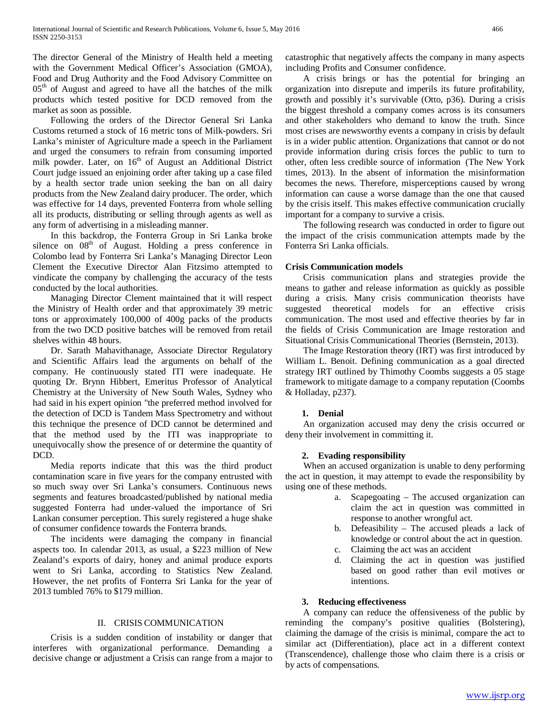The director General of the Ministry of Health held a meeting with the Government Medical Officer's Association (GMOA), Food and Drug Authority and the Food Advisory Committee on  $05<sup>th</sup>$  of August and agreed to have all the batches of the milk products which tested positive for DCD removed from the market as soon as possible.

 Following the orders of the Director General Sri Lanka Customs returned a stock of 16 metric tons of Milk-powders. Sri Lanka's minister of Agriculture made a speech in the Parliament and urged the consumers to refrain from consuming imported milk powder. Later, on 16<sup>th</sup> of August an Additional District Court judge issued an enjoining order after taking up a case filed by a health sector trade union seeking the ban on all dairy products from the New Zealand dairy producer. The order, which was effective for 14 days, prevented Fonterra from whole selling all its products, distributing or selling through agents as well as any form of advertising in a misleading manner.

 In this backdrop, the Fonterra Group in Sri Lanka broke silence on  $08<sup>th</sup>$  of August. Holding a press conference in Colombo lead by Fonterra Sri Lanka's Managing Director Leon Clement the Executive Director Alan Fitzsimo attempted to vindicate the company by challenging the accuracy of the tests conducted by the local authorities.

 Managing Director Clement maintained that it will respect the Ministry of Health order and that approximately 39 metric tons or approximately 100,000 of 400g packs of the products from the two DCD positive batches will be removed from retail shelves within 48 hours.

 Dr. Sarath Mahavithanage, Associate Director Regulatory and Scientific Affairs lead the arguments on behalf of the company. He continuously stated ITI were inadequate. He quoting Dr. Brynn Hibbert, Emeritus Professor of Analytical Chemistry at the University of New South Wales, Sydney who had said in his expert opinion "the preferred method involved for the detection of DCD is Tandem Mass Spectrometry and without this technique the presence of DCD cannot be determined and that the method used by the ITI was inappropriate to unequivocally show the presence of or determine the quantity of DCD.

 Media reports indicate that this was the third product contamination scare in five years for the company entrusted with so much sway over Sri Lanka's consumers. Continuous news segments and features broadcasted/published by national media suggested Fonterra had under-valued the importance of Sri Lankan consumer perception. This surely registered a huge shake of consumer confidence towards the Fonterra brands.

 The incidents were damaging the company in financial aspects too. In calendar 2013, as usual, a \$223 million of New Zealand's exports of dairy, honey and animal produce exports went to Sri Lanka, according to Statistics New Zealand. However, the net profits of Fonterra Sri Lanka for the year of 2013 tumbled 76% to \$179 million.

# II. CRISIS COMMUNICATION

 Crisis is a sudden condition of instability or danger that interferes with organizational performance. Demanding a decisive change or adjustment a Crisis can range from a major to catastrophic that negatively affects the company in many aspects including Profits and Consumer confidence.

 A crisis brings or has the potential for bringing an organization into disrepute and imperils its future profitability, growth and possibly it's survivable (Otto, p36). During a crisis the biggest threshold a company comes across is its consumers and other stakeholders who demand to know the truth. Since most crises are newsworthy events a company in crisis by default is in a wider public attention. Organizations that cannot or do not provide information during crisis forces the public to turn to other, often less credible source of information (The New York times, 2013). In the absent of information the misinformation becomes the news. Therefore, misperceptions caused by wrong information can cause a worse damage than the one that caused by the crisis itself. This makes effective communication crucially important for a company to survive a crisis.

 The following research was conducted in order to figure out the impact of the crisis communication attempts made by the Fonterra Sri Lanka officials.

# **Crisis Communication models**

 Crisis communication plans and strategies provide the means to gather and release information as quickly as possible during a crisis. Many crisis communication theorists have suggested theoretical models for an effective crisis communication. The most used and effective theories by far in the fields of Crisis Communication are Image restoration and Situational Crisis Communicational Theories (Bernstein, 2013).

 The Image Restoration theory (IRT) was first introduced by William L. Benoit. Defining communication as a goal directed strategy IRT outlined by Thimothy Coombs suggests a 05 stage framework to mitigate damage to a company reputation (Coombs & Holladay, p237).

# **1. Denial**

 An organization accused may deny the crisis occurred or deny their involvement in committing it.

# **2. Evading responsibility**

 When an accused organization is unable to deny performing the act in question, it may attempt to evade the responsibility by using one of these methods.

- a. Scapegoating The accused organization can claim the act in question was committed in response to another wrongful act.
- b. Defeasibility The accused pleads a lack of knowledge or control about the act in question.
- c. Claiming the act was an accident
- d. Claiming the act in question was justified based on good rather than evil motives or intentions.

# **3. Reducing effectiveness**

 A company can reduce the offensiveness of the public by reminding the company's positive qualities (Bolstering), claiming the damage of the crisis is minimal, compare the act to similar act (Differentiation), place act in a different context (Transcendence), challenge those who claim there is a crisis or by acts of compensations.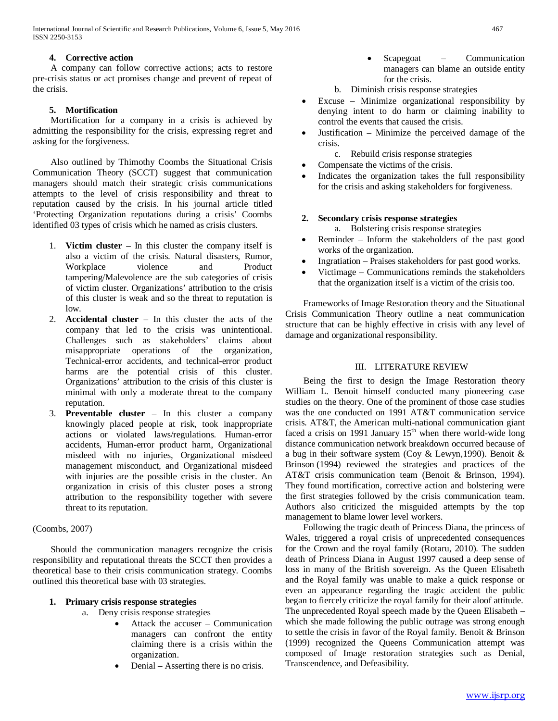International Journal of Scientific and Research Publications, Volume 6, Issue 5, May 2016 467 ISSN 2250-3153

# **4. Corrective action**

 A company can follow corrective actions; acts to restore pre-crisis status or act promises change and prevent of repeat of the crisis.

# **5. Mortification**

 Mortification for a company in a crisis is achieved by admitting the responsibility for the crisis, expressing regret and asking for the forgiveness.

 Also outlined by Thimothy Coombs the Situational Crisis Communication Theory (SCCT) suggest that communication managers should match their strategic crisis communications attempts to the level of crisis responsibility and threat to reputation caused by the crisis. In his journal article titled 'Protecting Organization reputations during a crisis' Coombs identified 03 types of crisis which he named as crisis clusters.

- 1. **Victim cluster** In this cluster the company itself is also a victim of the crisis. Natural disasters, Rumor, Workplace violence and Product tampering/Malevolence are the sub categories of crisis of victim cluster. Organizations' attribution to the crisis of this cluster is weak and so the threat to reputation is low.
- 2. **Accidental cluster** In this cluster the acts of the company that led to the crisis was unintentional. Challenges such as stakeholders' claims about misappropriate operations of the organization, Technical-error accidents, and technical-error product harms are the potential crisis of this cluster. Organizations' attribution to the crisis of this cluster is minimal with only a moderate threat to the company reputation.
- 3. **Preventable cluster** In this cluster a company knowingly placed people at risk, took inappropriate actions or violated laws/regulations. Human-error accidents, Human-error product harm, Organizational misdeed with no injuries, Organizational misdeed management misconduct, and Organizational misdeed with injuries are the possible crisis in the cluster. An organization in crisis of this cluster poses a strong attribution to the responsibility together with severe threat to its reputation.

# (Coombs, 2007)

 Should the communication managers recognize the crisis responsibility and reputational threats the SCCT then provides a theoretical base to their crisis communication strategy. Coombs outlined this theoretical base with 03 strategies.

# **1. Primary crisis response strategies**

- a. Deny crisis response strategies
	- Attack the accuser Communication managers can confront the entity claiming there is a crisis within the organization.
	- Denial Asserting there is no crisis.
- Scapegoat Communication managers can blame an outside entity for the crisis.
- b. Diminish crisis response strategies
- Excuse Minimize organizational responsibility by denying intent to do harm or claiming inability to control the events that caused the crisis.
- Justification Minimize the perceived damage of the crisis.
	- c. Rebuild crisis response strategies
- Compensate the victims of the crisis.
- Indicates the organization takes the full responsibility for the crisis and asking stakeholders for forgiveness.

# **2. Secondary crisis response strategies**

a. Bolstering crisis response strategies

- Reminder Inform the stakeholders of the past good works of the organization.
- Ingratiation Praises stakeholders for past good works.
- Victimage Communications reminds the stakeholders that the organization itself is a victim of the crisis too.

 Frameworks of Image Restoration theory and the Situational Crisis Communication Theory outline a neat communication structure that can be highly effective in crisis with any level of damage and organizational responsibility.

# III. LITERATURE REVIEW

 Being the first to design the Image Restoration theory William L. Benoit himself conducted many pioneering case studies on the theory. One of the prominent of those case studies was the one conducted on 1991 AT&T communication service crisis. AT&T, the American multi-national communication giant faced a crisis on 1991 January  $15<sup>th</sup>$  when there world-wide long distance communication network breakdown occurred because of a bug in their software system (Coy & Lewyn,1990). Benoit & Brinson (1994) reviewed the strategies and practices of the AT&T crisis communication team (Benoit & Brinson, 1994). They found mortification, corrective action and bolstering were the first strategies followed by the crisis communication team. Authors also criticized the misguided attempts by the top management to blame lower level workers.

 Following the tragic death of Princess Diana, the princess of Wales, triggered a royal crisis of unprecedented consequences for the Crown and the royal family (Rotaru, 2010). The sudden death of Princess Diana in August 1997 caused a deep sense of loss in many of the British sovereign. As the Queen Elisabeth and the Royal family was unable to make a quick response or even an appearance regarding the tragic accident the public began to fiercely criticize the royal family for their aloof attitude. The unprecedented Royal speech made by the Queen Elisabeth – which she made following the public outrage was strong enough to settle the crisis in favor of the Royal family. Benoit & Brinson (1999) recognized the Queens Communication attempt was composed of Image restoration strategies such as Denial, Transcendence, and Defeasibility.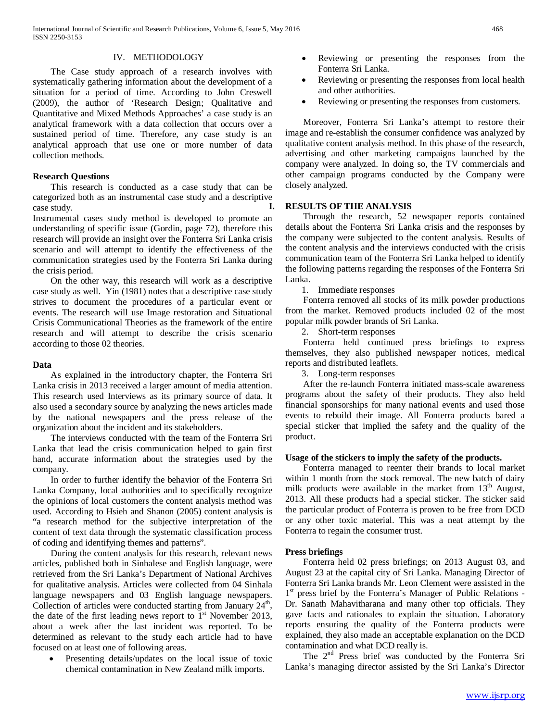#### IV. METHODOLOGY

 The Case study approach of a research involves with systematically gathering information about the development of a situation for a period of time. According to John Creswell (2009), the author of 'Research Design; Qualitative and Quantitative and Mixed Methods Approaches' a case study is an analytical framework with a data collection that occurs over a sustained period of time. Therefore, any case study is an analytical approach that use one or more number of data collection methods.

#### **Research Questions**

 This research is conducted as a case study that can be categorized both as an instrumental case study and a descriptive case study. Instrumental cases study method is developed to promote an understanding of specific issue (Gordin, page 72), therefore this research will provide an insight over the Fonterra Sri Lanka crisis scenario and will attempt to identify the effectiveness of the communication strategies used by the Fonterra Sri Lanka during

the crisis period. On the other way, this research will work as a descriptive case study as well. Yin (1981) notes that a descriptive case study strives to document the procedures of a particular event or events. The research will use Image restoration and Situational Crisis Communicational Theories as the framework of the entire research and will attempt to describe the crisis scenario according to those 02 theories.

#### **Data**

 As explained in the introductory chapter, the Fonterra Sri Lanka crisis in 2013 received a larger amount of media attention. This research used Interviews as its primary source of data. It also used a secondary source by analyzing the news articles made by the national newspapers and the press release of the organization about the incident and its stakeholders.

 The interviews conducted with the team of the Fonterra Sri Lanka that lead the crisis communication helped to gain first hand, accurate information about the strategies used by the company.

 In order to further identify the behavior of the Fonterra Sri Lanka Company, local authorities and to specifically recognize the opinions of local customers the content analysis method was used. According to Hsieh and Shanon (2005) content analysis is "a research method for the subjective interpretation of the content of text data through the systematic classification process of coding and identifying themes and patterns".

 During the content analysis for this research, relevant news articles, published both in Sinhalese and English language, were retrieved from the Sri Lanka's Department of National Archives for qualitative analysis. Articles were collected from 04 Sinhala language newspapers and 03 English language newspapers. Collection of articles were conducted starting from January  $24<sup>th</sup>$ , the date of the first leading news report to  $1<sup>st</sup>$  November 2013, about a week after the last incident was reported. To be determined as relevant to the study each article had to have focused on at least one of following areas.

• Presenting details/updates on the local issue of toxic chemical contamination in New Zealand milk imports.

- Reviewing or presenting the responses from the Fonterra Sri Lanka.
- Reviewing or presenting the responses from local health and other authorities.
- Reviewing or presenting the responses from customers.

 Moreover, Fonterra Sri Lanka's attempt to restore their image and re-establish the consumer confidence was analyzed by qualitative content analysis method. In this phase of the research, advertising and other marketing campaigns launched by the company were analyzed. In doing so, the TV commercials and other campaign programs conducted by the Company were closely analyzed.

#### **I. RESULTS OF THE ANALYSIS**

 Through the research, 52 newspaper reports contained details about the Fonterra Sri Lanka crisis and the responses by the company were subjected to the content analysis. Results of the content analysis and the interviews conducted with the crisis communication team of the Fonterra Sri Lanka helped to identify the following patterns regarding the responses of the Fonterra Sri Lanka.

1. Immediate responses

 Fonterra removed all stocks of its milk powder productions from the market. Removed products included 02 of the most popular milk powder brands of Sri Lanka.

2. Short-term responses

 Fonterra held continued press briefings to express themselves, they also published newspaper notices, medical reports and distributed leaflets.

3. Long-term responses

 After the re-launch Fonterra initiated mass-scale awareness programs about the safety of their products. They also held financial sponsorships for many national events and used those events to rebuild their image. All Fonterra products bared a special sticker that implied the safety and the quality of the product.

#### **Usage of the stickers to imply the safety of the products.**

 Fonterra managed to reenter their brands to local market within 1 month from the stock removal. The new batch of dairy milk products were available in the market from  $13<sup>th</sup>$  August, 2013. All these products had a special sticker. The sticker said the particular product of Fonterra is proven to be free from DCD or any other toxic material. This was a neat attempt by the Fonterra to regain the consumer trust.

#### **Press briefings**

 Fonterra held 02 press briefings; on 2013 August 03, and August 23 at the capital city of Sri Lanka. Managing Director of Fonterra Sri Lanka brands Mr. Leon Clement were assisted in the 1<sup>st</sup> press brief by the Fonterra's Manager of Public Relations -Dr. Sanath Mahavitharana and many other top officials. They gave facts and rationales to explain the situation. Laboratory reports ensuring the quality of the Fonterra products were explained, they also made an acceptable explanation on the DCD contamination and what DCD really is.

The 2<sup>nd</sup> Press brief was conducted by the Fonterra Sri Lanka's managing director assisted by the Sri Lanka's Director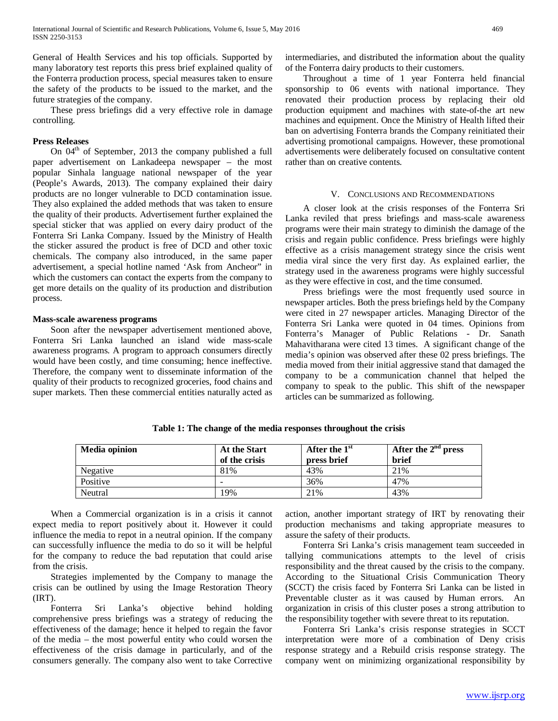General of Health Services and his top officials. Supported by many laboratory test reports this press brief explained quality of the Fonterra production process, special measures taken to ensure the safety of the products to be issued to the market, and the future strategies of the company.

 These press briefings did a very effective role in damage controlling.

#### **Press Releases**

On  $04<sup>th</sup>$  of September, 2013 the company published a full paper advertisement on Lankadeepa newspaper – the most popular Sinhala language national newspaper of the year (People's Awards, 2013). The company explained their dairy products are no longer vulnerable to DCD contamination issue. They also explained the added methods that was taken to ensure the quality of their products. Advertisement further explained the special sticker that was applied on every dairy product of the Fonterra Sri Lanka Company. Issued by the Ministry of Health the sticker assured the product is free of DCD and other toxic chemicals. The company also introduced, in the same paper advertisement, a special hotline named 'Ask from Ancheor" in which the customers can contact the experts from the company to get more details on the quality of its production and distribution process.

#### **Mass-scale awareness programs**

 Soon after the newspaper advertisement mentioned above, Fonterra Sri Lanka launched an island wide mass-scale awareness programs. A program to approach consumers directly would have been costly, and time consuming; hence ineffective. Therefore, the company went to disseminate information of the quality of their products to recognized groceries, food chains and super markets. Then these commercial entities naturally acted as intermediaries, and distributed the information about the quality of the Fonterra dairy products to their customers.

 Throughout a time of 1 year Fonterra held financial sponsorship to 06 events with national importance. They renovated their production process by replacing their old production equipment and machines with state-of-the art new machines and equipment. Once the Ministry of Health lifted their ban on advertising Fonterra brands the Company reinitiated their advertising promotional campaigns. However, these promotional advertisements were deliberately focused on consultative content rather than on creative contents.

#### V. CONCLUSIONS AND RECOMMENDATIONS

 A closer look at the crisis responses of the Fonterra Sri Lanka reviled that press briefings and mass-scale awareness programs were their main strategy to diminish the damage of the crisis and regain public confidence. Press briefings were highly effective as a crisis management strategy since the crisis went media viral since the very first day. As explained earlier, the strategy used in the awareness programs were highly successful as they were effective in cost, and the time consumed.

 Press briefings were the most frequently used source in newspaper articles. Both the press briefings held by the Company were cited in 27 newspaper articles. Managing Director of the Fonterra Sri Lanka were quoted in 04 times. Opinions from Fonterra's Manager of Public Relations - Dr. Sanath Mahavitharana were cited 13 times. A significant change of the media's opinion was observed after these 02 press briefings. The media moved from their initial aggressive stand that damaged the company to be a communication channel that helped the company to speak to the public. This shift of the newspaper articles can be summarized as following.

| <b>Media opinion</b> | <b>At the Start</b><br>of the crisis | After the $1st$<br>press brief | After the $2nd$ press<br><b>brief</b> |
|----------------------|--------------------------------------|--------------------------------|---------------------------------------|
| Negative             | 81%                                  | 43%                            | 21\%                                  |
| Positive             |                                      | 36%                            | 47%                                   |
| Neutral              | 19%                                  | 21%                            | 43%                                   |

**Table 1: The change of the media responses throughout the crisis**

 When a Commercial organization is in a crisis it cannot expect media to report positively about it. However it could influence the media to repot in a neutral opinion. If the company can successfully influence the media to do so it will be helpful for the company to reduce the bad reputation that could arise from the crisis.

 Strategies implemented by the Company to manage the crisis can be outlined by using the Image Restoration Theory (IRT).

 Fonterra Sri Lanka's objective behind holding comprehensive press briefings was a strategy of reducing the effectiveness of the damage; hence it helped to regain the favor of the media – the most powerful entity who could worsen the effectiveness of the crisis damage in particularly, and of the consumers generally. The company also went to take Corrective

action, another important strategy of IRT by renovating their production mechanisms and taking appropriate measures to assure the safety of their products.

 Fonterra Sri Lanka's crisis management team succeeded in tallying communications attempts to the level of crisis responsibility and the threat caused by the crisis to the company. According to the Situational Crisis Communication Theory (SCCT) the crisis faced by Fonterra Sri Lanka can be listed in Preventable cluster as it was caused by Human errors. An organization in crisis of this cluster poses a strong attribution to the responsibility together with severe threat to its reputation.

 Fonterra Sri Lanka's crisis response strategies in SCCT interpretation were more of a combination of Deny crisis response strategy and a Rebuild crisis response strategy. The company went on minimizing organizational responsibility by